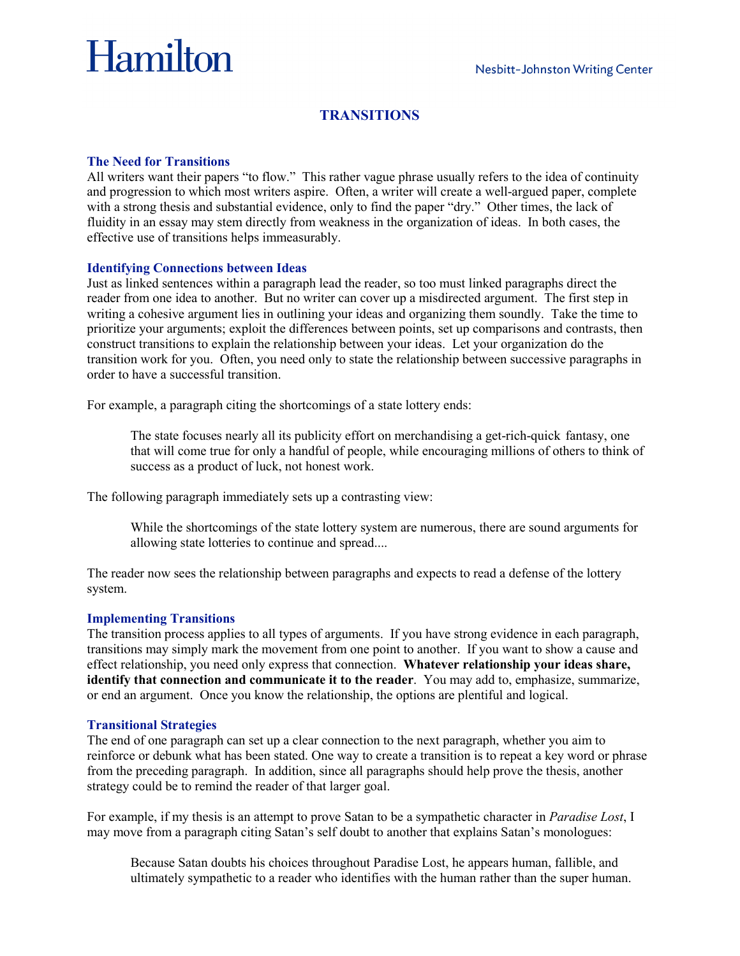# Hamilton

# **TRANSITIONS**

### **The Need for Transitions**

All writers want their papers "to flow." This rather vague phrase usually refers to the idea of continuity and progression to which most writers aspire. Often, a writer will create a well-argued paper, complete with a strong thesis and substantial evidence, only to find the paper "dry." Other times, the lack of fluidity in an essay may stem directly from weakness in the organization of ideas. In both cases, the effective use of transitions helps immeasurably.

## **Identifying Connections between Ideas**

Just as linked sentences within a paragraph lead the reader, so too must linked paragraphs direct the reader from one idea to another. But no writer can cover up a misdirected argument. The first step in writing a cohesive argument lies in outlining your ideas and organizing them soundly. Take the time to prioritize your arguments; exploit the differences between points, set up comparisons and contrasts, then construct transitions to explain the relationship between your ideas. Let your organization do the transition work for you. Often, you need only to state the relationship between successive paragraphs in order to have a successful transition.

For example, a paragraph citing the shortcomings of a state lottery ends:

The state focuses nearly all its publicity effort on merchandising a get-rich-quick fantasy, one that will come true for only a handful of people, while encouraging millions of others to think of success as a product of luck, not honest work.

The following paragraph immediately sets up a contrasting view:

While the shortcomings of the state lottery system are numerous, there are sound arguments for allowing state lotteries to continue and spread....

The reader now sees the relationship between paragraphs and expects to read a defense of the lottery system.

#### **Implementing Transitions**

The transition process applies to all types of arguments. If you have strong evidence in each paragraph, transitions may simply mark the movement from one point to another. If you want to show a cause and effect relationship, you need only express that connection. **Whatever relationship your ideas share, identify that connection and communicate it to the reader**. You may add to, emphasize, summarize, or end an argument. Once you know the relationship, the options are plentiful and logical.

#### **Transitional Strategies**

The end of one paragraph can set up a clear connection to the next paragraph, whether you aim to reinforce or debunk what has been stated. One way to create a transition is to repeat a key word or phrase from the preceding paragraph. In addition, since all paragraphs should help prove the thesis, another strategy could be to remind the reader of that larger goal.

For example, if my thesis is an attempt to prove Satan to be a sympathetic character in *Paradise Lost*, I may move from a paragraph citing Satan's self doubt to another that explains Satan's monologues:

Because Satan doubts his choices throughout Paradise Lost, he appears human, fallible, and ultimately sympathetic to a reader who identifies with the human rather than the super human.